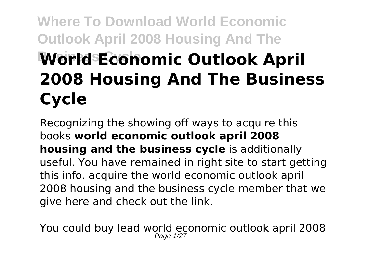# **Where To Download World Economic Outlook April 2008 Housing And The World Economic Outlook April 2008 Housing And The Business Cycle**

Recognizing the showing off ways to acquire this books **world economic outlook april 2008 housing and the business cycle** is additionally useful. You have remained in right site to start getting this info. acquire the world economic outlook april 2008 housing and the business cycle member that we give here and check out the link.

You could buy lead world economic outlook april 2008 Page 1/27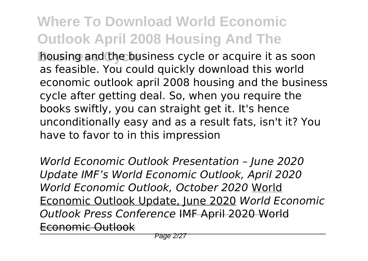**Bousing and the business cycle or acquire it as soon** as feasible. You could quickly download this world economic outlook april 2008 housing and the business cycle after getting deal. So, when you require the books swiftly, you can straight get it. It's hence unconditionally easy and as a result fats, isn't it? You have to favor to in this impression

*World Economic Outlook Presentation – June 2020 Update IMF's World Economic Outlook, April 2020 World Economic Outlook, October 2020* World Economic Outlook Update, June 2020 *World Economic Outlook Press Conference* IMF April 2020 World Economic Outlook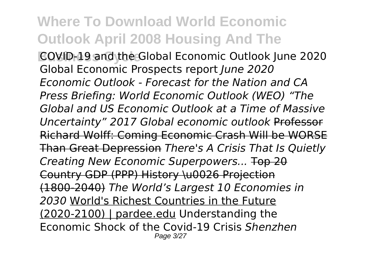**Business Cycle** COVID-19 and the Global Economic Outlook June 2020 Global Economic Prospects report *June 2020 Economic Outlook - Forecast for the Nation and CA Press Briefing: World Economic Outlook (WEO) "The Global and US Economic Outlook at a Time of Massive Uncertainty" 2017 Global economic outlook* Professor Richard Wolff: Coming Economic Crash Will be WORSE Than Great Depression *There's A Crisis That Is Quietly Creating New Economic Superpowers...* Top 20 Country GDP (PPP) History \u0026 Projection (1800-2040) *The World's Largest 10 Economies in 2030* World's Richest Countries in the Future (2020-2100) | pardee.edu Understanding the Economic Shock of the Covid-19 Crisis *Shenzhen* Page 3/27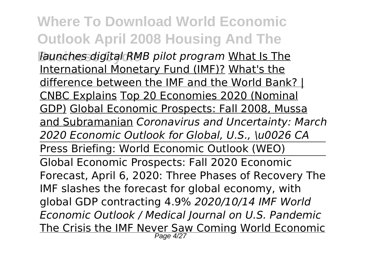**Where To Download World Economic Outlook April 2008 Housing And The** *Faunches digital RMB pilot program* What Is The International Monetary Fund (IMF)? What's the difference between the IMF and the World Bank? | CNBC Explains Top 20 Economies 2020 (Nominal GDP) Global Economic Prospects: Fall 2008, Mussa and Subramanian *Coronavirus and Uncertainty: March 2020 Economic Outlook for Global, U.S., \u0026 CA* Press Briefing: World Economic Outlook (WEO) Global Economic Prospects: Fall 2020 Economic Forecast, April 6, 2020: Three Phases of Recovery The IMF slashes the forecast for global economy, with global GDP contracting 4.9% *2020/10/14 IMF World Economic Outlook / Medical Journal on U.S. Pandemic* <u>The Crisis the IMF Never Saw Coming World Economic</u>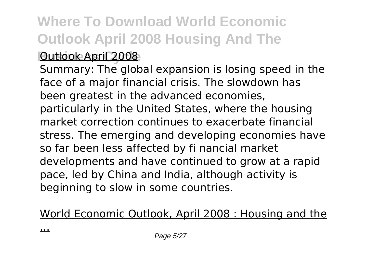#### **Outlook April 2008**

Summary: The global expansion is losing speed in the face of a major financial crisis. The slowdown has been greatest in the advanced economies, particularly in the United States, where the housing market correction continues to exacerbate financial stress. The emerging and developing economies have so far been less affected by fi nancial market developments and have continued to grow at a rapid pace, led by China and India, although activity is beginning to slow in some countries.

World Economic Outlook, April 2008 : Housing and the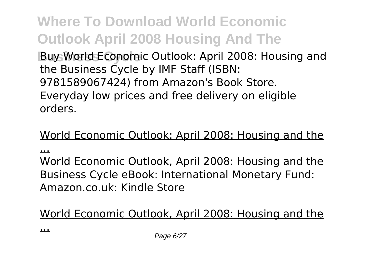**Buy World Economic Outlook: April 2008: Housing and** the Business Cycle by IMF Staff (ISBN: 9781589067424) from Amazon's Book Store. Everyday low prices and free delivery on eligible orders.

#### World Economic Outlook: April 2008: Housing and the

...

World Economic Outlook, April 2008: Housing and the Business Cycle eBook: International Monetary Fund: Amazon.co.uk: Kindle Store

World Economic Outlook, April 2008: Housing and the

...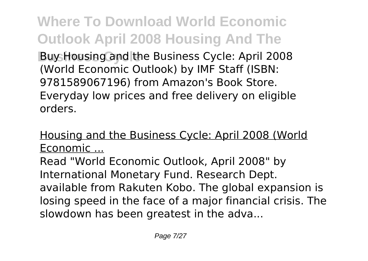**Where To Download World Economic Outlook April 2008 Housing And The Buy Housing and the Business Cycle: April 2008** (World Economic Outlook) by IMF Staff (ISBN: 9781589067196) from Amazon's Book Store. Everyday low prices and free delivery on eligible orders.

Housing and the Business Cycle: April 2008 (World Economic ...

Read "World Economic Outlook, April 2008" by International Monetary Fund. Research Dept. available from Rakuten Kobo. The global expansion is losing speed in the face of a major financial crisis. The slowdown has been greatest in the adva...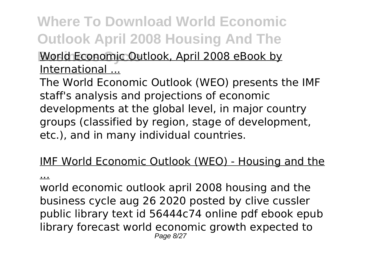**World Economic Outlook, April 2008 eBook by** International ...

The World Economic Outlook (WEO) presents the IMF staff's analysis and projections of economic developments at the global level, in major country groups (classified by region, stage of development, etc.), and in many individual countries.

#### IMF World Economic Outlook (WEO) - Housing and the

...

world economic outlook april 2008 housing and the business cycle aug 26 2020 posted by clive cussler public library text id 56444c74 online pdf ebook epub library forecast world economic growth expected to Page 8/27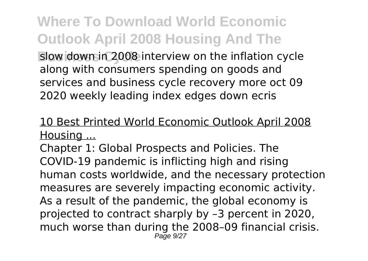**Where To Download World Economic Outlook April 2008 Housing And The Blow down in 2008 interview on the inflation cycle** along with consumers spending on goods and services and business cycle recovery more oct 09 2020 weekly leading index edges down ecris

#### 10 Best Printed World Economic Outlook April 2008 Housing ...

Chapter 1: Global Prospects and Policies. The COVID-19 pandemic is inflicting high and rising human costs worldwide, and the necessary protection measures are severely impacting economic activity. As a result of the pandemic, the global economy is projected to contract sharply by –3 percent in 2020, much worse than during the 2008–09 financial crisis. Page 9/27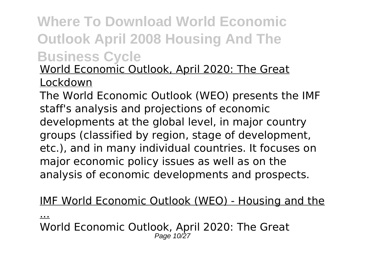World Economic Outlook, April 2020: The Great Lockdown

The World Economic Outlook (WEO) presents the IMF staff's analysis and projections of economic developments at the global level, in major country groups (classified by region, stage of development, etc.), and in many individual countries. It focuses on major economic policy issues as well as on the analysis of economic developments and prospects.

#### IMF World Economic Outlook (WEO) - Housing and the

... World Economic Outlook, April 2020: The Great Page 10/27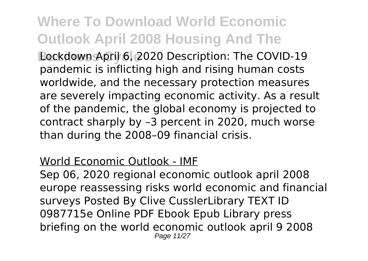**Bockdown April 6, 2020 Description: The COVID-19** pandemic is inflicting high and rising human costs worldwide, and the necessary protection measures are severely impacting economic activity. As a result of the pandemic, the global economy is projected to contract sharply by –3 percent in 2020, much worse than during the 2008–09 financial crisis.

#### World Economic Outlook - IMF

Sep 06, 2020 regional economic outlook april 2008 europe reassessing risks world economic and financial surveys Posted By Clive CusslerLibrary TEXT ID 0987715e Online PDF Ebook Epub Library press briefing on the world economic outlook april 9 2008 Page 11/27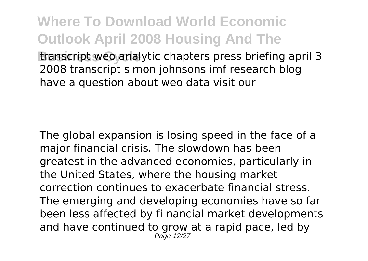**Where To Download World Economic Outlook April 2008 Housing And The Business Lines analytic chapters press briefing april 3** 2008 transcript simon johnsons imf research blog have a question about weo data visit our

The global expansion is losing speed in the face of a major financial crisis. The slowdown has been greatest in the advanced economies, particularly in the United States, where the housing market correction continues to exacerbate financial stress. The emerging and developing economies have so far been less affected by fi nancial market developments and have continued to grow at a rapid pace, led by Page 12/27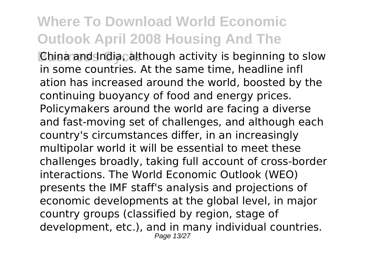**China and India, although activity is beginning to slow** in some countries. At the same time, headline infl ation has increased around the world, boosted by the continuing buoyancy of food and energy prices. Policymakers around the world are facing a diverse and fast-moving set of challenges, and although each country's circumstances differ, in an increasingly multipolar world it will be essential to meet these challenges broadly, taking full account of cross-border interactions. The World Economic Outlook (WEO) presents the IMF staff's analysis and projections of economic developments at the global level, in major country groups (classified by region, stage of development, etc.), and in many individual countries. Page 13/27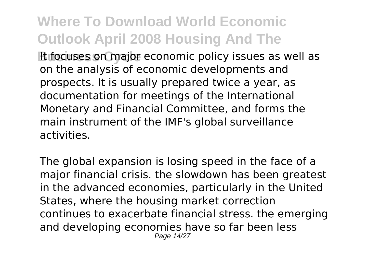**Business Cycle** It focuses on major economic policy issues as well as on the analysis of economic developments and prospects. It is usually prepared twice a year, as documentation for meetings of the International Monetary and Financial Committee, and forms the main instrument of the IMF's global surveillance activities.

The global expansion is losing speed in the face of a major financial crisis. the slowdown has been greatest in the advanced economies, particularly in the United States, where the housing market correction continues to exacerbate financial stress. the emerging and developing economies have so far been less Page 14/27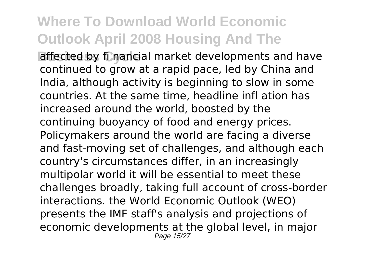**Business affected by fi nancial market developments and have** continued to grow at a rapid pace, led by China and India, although activity is beginning to slow in some countries. At the same time, headline infl ation has increased around the world, boosted by the continuing buoyancy of food and energy prices. Policymakers around the world are facing a diverse and fast-moving set of challenges, and although each country's circumstances differ, in an increasingly multipolar world it will be essential to meet these challenges broadly, taking full account of cross-border interactions. the World Economic Outlook (WEO) presents the IMF staff's analysis and projections of economic developments at the global level, in major Page 15/27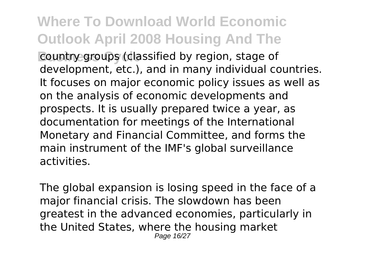**Business Country groups (classified by region, stage of** development, etc.), and in many individual countries. It focuses on major economic policy issues as well as on the analysis of economic developments and prospects. It is usually prepared twice a year, as documentation for meetings of the International Monetary and Financial Committee, and forms the main instrument of the IMF's global surveillance activities.

The global expansion is losing speed in the face of a major financial crisis. The slowdown has been greatest in the advanced economies, particularly in the United States, where the housing market Page 16/27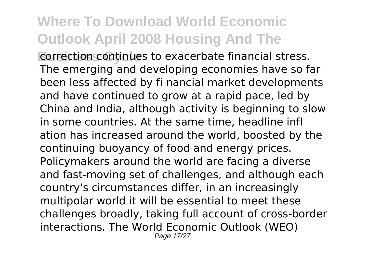**Business Continues to exacerbate financial stress.** The emerging and developing economies have so far been less affected by fi nancial market developments and have continued to grow at a rapid pace, led by China and India, although activity is beginning to slow in some countries. At the same time, headline infl ation has increased around the world, boosted by the continuing buoyancy of food and energy prices. Policymakers around the world are facing a diverse and fast-moving set of challenges, and although each country's circumstances differ, in an increasingly multipolar world it will be essential to meet these challenges broadly, taking full account of cross-border interactions. The World Economic Outlook (WEO) Page 17/27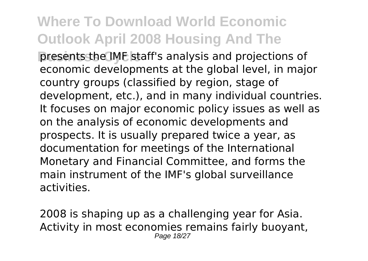**presents the IMF staff's analysis and projections of** economic developments at the global level, in major country groups (classified by region, stage of development, etc.), and in many individual countries. It focuses on major economic policy issues as well as on the analysis of economic developments and prospects. It is usually prepared twice a year, as documentation for meetings of the International Monetary and Financial Committee, and forms the main instrument of the IMF's global surveillance activities.

2008 is shaping up as a challenging year for Asia. Activity in most economies remains fairly buoyant, Page 18/27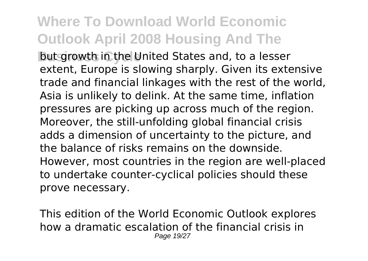**But growth in the United States and, to a lesser** extent, Europe is slowing sharply. Given its extensive trade and financial linkages with the rest of the world, Asia is unlikely to delink. At the same time, inflation pressures are picking up across much of the region. Moreover, the still-unfolding global financial crisis adds a dimension of uncertainty to the picture, and the balance of risks remains on the downside. However, most countries in the region are well-placed to undertake counter-cyclical policies should these prove necessary.

This edition of the World Economic Outlook explores how a dramatic escalation of the financial crisis in Page 19/27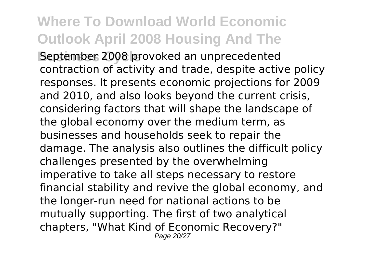**Beptember 2008 provoked an unprecedented** contraction of activity and trade, despite active policy responses. It presents economic projections for 2009 and 2010, and also looks beyond the current crisis, considering factors that will shape the landscape of the global economy over the medium term, as businesses and households seek to repair the damage. The analysis also outlines the difficult policy challenges presented by the overwhelming imperative to take all steps necessary to restore financial stability and revive the global economy, and the longer-run need for national actions to be mutually supporting. The first of two analytical chapters, "What Kind of Economic Recovery?" Page 20/27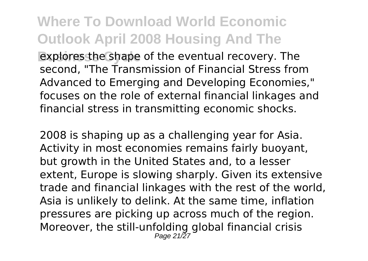**Busines the shape of the eventual recovery. The** second, "The Transmission of Financial Stress from Advanced to Emerging and Developing Economies," focuses on the role of external financial linkages and financial stress in transmitting economic shocks.

2008 is shaping up as a challenging year for Asia. Activity in most economies remains fairly buoyant, but growth in the United States and, to a lesser extent, Europe is slowing sharply. Given its extensive trade and financial linkages with the rest of the world, Asia is unlikely to delink. At the same time, inflation pressures are picking up across much of the region. Moreover, the still-unfolding global financial crisis Page 21/27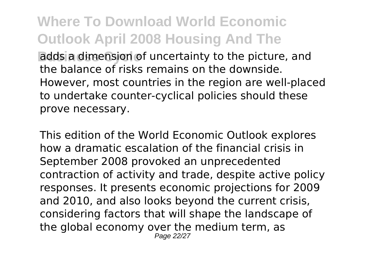**Budds a dimension of uncertainty to the picture, and** the balance of risks remains on the downside. However, most countries in the region are well-placed to undertake counter-cyclical policies should these prove necessary.

This edition of the World Economic Outlook explores how a dramatic escalation of the financial crisis in September 2008 provoked an unprecedented contraction of activity and trade, despite active policy responses. It presents economic projections for 2009 and 2010, and also looks beyond the current crisis, considering factors that will shape the landscape of the global economy over the medium term, as Page 22/27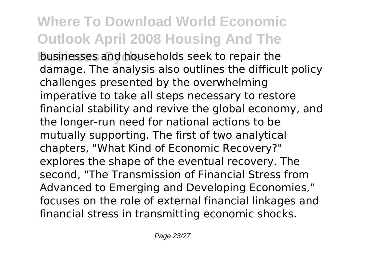**businesses and households seek to repair the** damage. The analysis also outlines the difficult policy challenges presented by the overwhelming imperative to take all steps necessary to restore financial stability and revive the global economy, and the longer-run need for national actions to be mutually supporting. The first of two analytical chapters, "What Kind of Economic Recovery?" explores the shape of the eventual recovery. The second, "The Transmission of Financial Stress from Advanced to Emerging and Developing Economies," focuses on the role of external financial linkages and financial stress in transmitting economic shocks.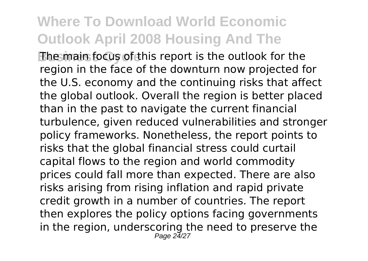**The main focus of this report is the outlook for the** region in the face of the downturn now projected for the U.S. economy and the continuing risks that affect the global outlook. Overall the region is better placed than in the past to navigate the current financial turbulence, given reduced vulnerabilities and stronger policy frameworks. Nonetheless, the report points to risks that the global financial stress could curtail capital flows to the region and world commodity prices could fall more than expected. There are also risks arising from rising inflation and rapid private credit growth in a number of countries. The report then explores the policy options facing governments in the region, underscoring the need to preserve the Page 24/27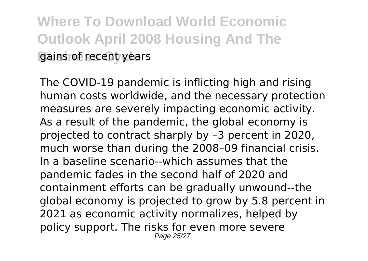**Where To Download World Economic Outlook April 2008 Housing And The gains of recent years** 

The COVID-19 pandemic is inflicting high and rising human costs worldwide, and the necessary protection measures are severely impacting economic activity. As a result of the pandemic, the global economy is projected to contract sharply by –3 percent in 2020, much worse than during the 2008–09 financial crisis. In a baseline scenario--which assumes that the pandemic fades in the second half of 2020 and containment efforts can be gradually unwound--the global economy is projected to grow by 5.8 percent in 2021 as economic activity normalizes, helped by policy support. The risks for even more severe Page 25/27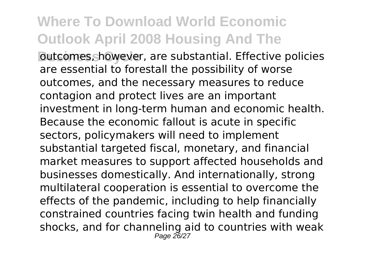**Butcomes, however, are substantial. Effective policies** are essential to forestall the possibility of worse outcomes, and the necessary measures to reduce contagion and protect lives are an important investment in long-term human and economic health. Because the economic fallout is acute in specific sectors, policymakers will need to implement substantial targeted fiscal, monetary, and financial market measures to support affected households and businesses domestically. And internationally, strong multilateral cooperation is essential to overcome the effects of the pandemic, including to help financially constrained countries facing twin health and funding shocks, and for channeling aid to countries with weak Page 26/27